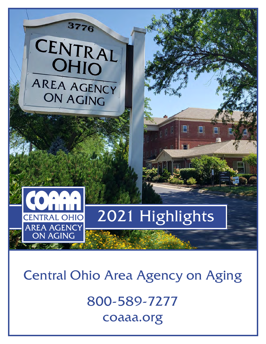

Central Ohio Area Agency on Aging

800-589-7277 coaaa.org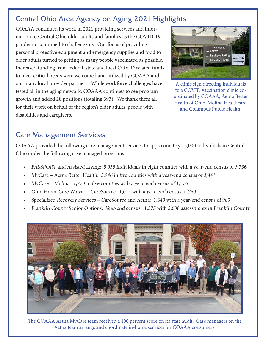# Central Ohio Area Agency on Aging 2021 Highlights

COAAA continued its work in 2021 providing services and information to Central Ohio older adults and families as the COVID-19 pandemic continued to challenge us. Our focus of providing personal protective equipment and emergency supplies and food to older adults turned to getting as many people vaccinated as possible. Increased funding from federal, state and local COVID related funds to meet critical needs were welcomed and utilized by COAAA and our many local provider partners. While workforce challenges have tested all in the aging network, COAAA continues to see program growth and added 28 positions (totaling 393). We thank them all for their work on behalf of the region's older adults, people with disabilities and caregivers.



A clinic sign directing individuals to a COVID vaccination clinic coordinated by COAAA, Aetna Better Health of Ohio, Molina Healthcare, and Columbus Public Health.

# Care Management Services

COAAA provided the following care management services to approximately 15,000 individuals in Central Ohio under the following case managed programs:

- PASSPORT and Assisted Living: 5,055 individuals in eight counties with a year-end census of 3,736
- MyCare Aetna Better Health: 3,946 in five counties with a year-end census of 3,441
- MyCare Molina: 1,773 in five counties with a year-end census of 1,376
- Ohio Home Care Waiver CareSource: 1,015 with a year-end census of 760
- Specialized Recovery Services CareSource and Aetna: 1,340 with a year-end census of 989
- Franklin County Senior Options: Year-end census: 1,575 with 2,638 assessments in Franklin County



The COAAA Aetna MyCare team received a 100 percent score on its state audit. Case managers on the Aetna team arrange and coordinate in-home services for COAAA consumers.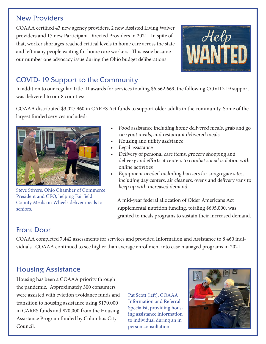## New Providers

COAAA certified 43 new agency providers, 2 new Assisted Living Waiver providers and 17 new Participant Directed Providers in 2021. In spite of that, worker shortages reached critical levels in home care across the state and left many people waiting for home care workers. This issue became our number one advocacy issue during the Ohio budget deliberations.



# COVID-19 Support to the Community

In addition to our regular Title III awards for services totaling \$6,562,669, the following COVID-19 support was delivered to our 8 counties:

COAAA distributed \$3,027,960 in CARES Act funds to support older adults in the community. Some of the largest funded services included:



Steve Stivers, Ohio Chamber of Commerce President and CEO, helping Fairfield County Meals on Wheels deliver meals to seniors.

- Food assistance including home delivered meals, grab and go carryout meals, and restaurant delivered meals.
- Housing and utility assistance
- Legal assistance
- Delivery of personal care items, grocery shopping and delivery and efforts at centers to combat social isolation with online activities
- Equipment needed including barriers for congregate sites, including day centers, air cleaners, ovens and delivery vans to keep up with increased demand.

A mid-year federal allocation of Older Americans Act supplemental nutrition funding, totaling \$695,000, was granted to meals programs to sustain their increased demand.

# Front Door

COAAA completed 7,442 assessments for services and provided Information and Assistance to 8,460 individuals. COAAA continued to see higher than average enrollment into case managed programs in 2021.

# Housing Assistance

Housing has been a COAAA priority through the pandemic. Approximately 300 consumers were assisted with eviction avoidance funds and transition to housing assistance using \$170,000 in CARES funds and \$70,000 from the Housing Assistance Program funded by Columbus City Council.

Pat Scott (left), COAAA Information and Referral Specialist, providing housing assistance information to individual during an in person consultation.

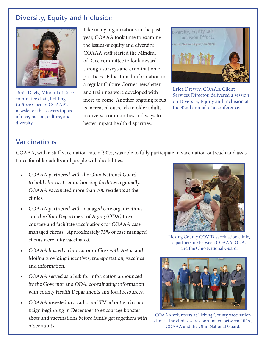## Diversity, Equity and Inclusion



Tania Davis, Mindful of Race committee chair, holding Culture Corner, COAAA's newsletter that covers topics of race, racism, culture, and diversity.

Like many organizations in the past year, COAAA took time to examine the issues of equity and diversity. COAAA staff started the Mindful of Race committee to look inward through surveys and examination of practices. Educational information in a regular Culture Corner newsletter and trainings were developed with more to come. Another ongoing focus is increased outreach to older adults in diverse communities and ways to better impact health disparities.



Erica Drewry, COAAA Client Services Director, delivered a session on Diversity, Equity and Inclusion at the 32nd annual o4a conference.

# Vaccinations

COAAA, with a staff vaccination rate of 90%, was able to fully participate in vaccination outreach and assistance for older adults and people with disabilities.

- COAAA partnered with the Ohio National Guard to hold clinics at senior housing facilities regionally. COAAA vaccinated more than 700 residents at the clinics.
- COAAA partnered with managed care organizations and the Ohio Department of Aging (ODA) to encourage and facilitate vaccinations for COAAA case managed clients. Approximately 75% of case managed clients were fully vaccinated.
- COAAA hosted a clinic at our offices with Aetna and Molina providing incentives, transportation, vaccines and information.
- COAAA served as a hub for information announced by the Governor and ODA, coordinating information with county Health Departments and local resources.
- COAAA invested in a radio and TV ad outreach campaign beginning in December to encourage booster shots and vaccinations before family get togethers with older adults.



Licking County COVID vaccination clinic, a partnership between COAAA, ODA, and the Ohio National Guard.



COAAA volunteers at Licking County vaccination clinic. The clinics were coordinated between ODA, COAAA and the Ohio National Guard.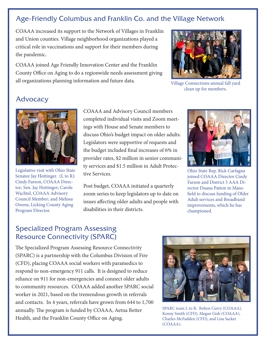## Age-Friendly Columbus and Franklin Co. and the Village Network

COAAA increased its support to the Network of Villages in Franklin and Union counties. Village neighborhood organizations played a critical role in vaccinations and support for their members during the pandemic.

COAAA joined Age Friendly Innovation Center and the Franklin County Office on Aging to do a regionwide needs assessment giving all organizations planning information and future data.



Village Connections annual fall yard clean up for members.

## Advocacy



Legislative visit with Ohio State Senator Jay Hottinger. (L to R): Cindy Farson, COAAA Director; Sen. Jay Hottinger; Carole Wachtel, COAAA Advisory Council Member; and Melissa Owens, Licking County Aging Program Director.

COAAA and Advisory Council members completed individual visits and Zoom meetings with House and Senate members to discuss Ohio's budget impact on older adults. Legislators were supportive of requests and the budget included final increases of 6% in provider rates, \$2 million in senior community services and \$1.5 million in Adult Protective Services.

Post budget, COAAA initiated a quarterly zoom series to keep legislators up to date on issues affecting older adults and people with disabilities in their districts.



Ohio State Rep. Rick Carfagna joined COAAA Director Cindy Farson and District 5 AAA Director Duana Patton in Mansfield to discuss funding of Older Adult services and Broadband improvements, which he has championed.

## Specialized Program Assessing Resource Connectivity (SPARC)

The Specialized Program Assessing Resource Connectivity (SPARC) is a partnership with the Columbus Division of Fire (CFD), placing COAAA social workers with paramedics to respond to non-emergency 911 calls. It is designed to reduce reliance on 911 for non-emergencies and connect older adults to community resources. COAAA added another SPARC social worker in 2021, based on the tremendous growth in referrals and contacts. In 4 years, referrals have grown from 644 to 1,700 annually. The program is funded by COAAA, Aetna Better Health, and the Franklin County Office on Aging.



SPARC team L to R: Robyn Curry (COAAA), Kenny Smith (CFD), Megan Gish (COAAA), Charles McFadden (CFD), and Lisa Sacket (COAAA).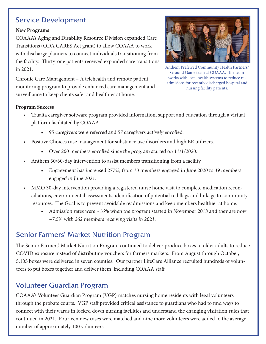## Service Development

#### **New Programs**

COAAA's Aging and Disability Resource Division expanded Care Transitions (ODA CARES Act grant) to allow COAAA to work with discharge planners to connect individuals transitioning from the facility. Thirty-one patients received expanded care transitions in 2021.



Anthem Preferred Community Health Partners/ Ground Game team at COAAA. The team works with local health systems to reduce readmisions for recently discharged hospital and nursing facility patients.

Chronic Care Management – A telehealth and remote patient monitoring program to provide enhanced care management and surveillance to keep clients safer and healthier at home.

#### **Program Success**

- Trualta caregiver software program provided information, support and education through a virtual platform facilitated by COAAA.
	- 95 caregivers were referred and 57 caregivers actively enrolled.
- Positive Choices case management for substance use disorders and high ER utilizers.
	- Over 200 members enrolled since the program started on 11/1/2020.
- Anthem 30/60-day intervention to assist members transitioning from a facility.
	- Engagement has increased 277%, from 13 members engaged in June 2020 to 49 members engaged in June 2021.
- MMO 30-day intervention providing a registered nurse home visit to complete medication reconciliations, environmental assessments, identification of potential red flags and linkage to community resources. The Goal is to prevent avoidable readmissions and keep members healthier at home.
	- Admission rates were ~16% when the program started in November 2018 and they are now  $\sim$ 7.5% with 262 members receiving visits in 2021.

# Senior Farmers' Market Nutrition Program

The Senior Farmers' Market Nutrition Program continued to deliver produce boxes to older adults to reduce COVID exposure instead of distributing vouchers for farmers markets. From August through October, 5,105 boxes were delivered in seven counties. Our partner LifeCare Alliance recruited hundreds of volunteers to put boxes together and deliver them, including COAAA staff.

# Volunteer Guardian Program

COAAA's Volunteer Guardian Program (VGP) matches nursing home residents with legal volunteers through the probate courts. VGP staff provided critical assistance to guardians who had to find ways to connect with their wards in locked down nursing facilities and understand the changing visitation rules that continued in 2021. Fourteen new cases were matched and nine more volunteers were added to the average number of approximately 100 volunteers.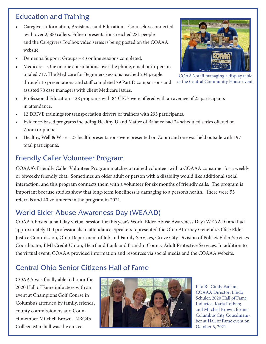# Education and Training

- Caregiver Information, Assistance and Education Counselors connected with over 2,500 callers. Fifteen presentations reached 281 people and the Caregivers Toolbox video series is being posted on the COAAA website.
- Dementia Support Groups 43 online sessions completed.
- Medicare One on one consultations over the phone, email or in-person totaled 717. The Medicare for Beginners sessions reached 234 people through 15 presentations and staff completed 79 Part D comparisons and assisted 78 case managers with client Medicare issues.



COAAA staff managing a display table at the Central Community House event.

- Professional Education 28 programs with 84 CEUs were offered with an average of 25 participants in attendance.
- 12 DRIVE trainings for transportation drivers or trainers with 295 participants.
- Evidence-based programs including Healthy U and Matter of Balance had 24 scheduled series offered on Zoom or phone.
- Healthy, Well & Wise 27 health presentations were presented on Zoom and one was held outside with 197 total participants.

## Friendly Caller Volunteer Program

COAAA's Friendly Caller Volunteer Program matches a trained volunteer with a COAAA consumer for a weekly or biweekly friendly chat. Sometimes an older adult or person with a disability would like additional social interaction, and this program connects them with a volunteer for six months of friendly calls. The program is important because studies show that long-term loneliness is damaging to a person's health. There were 53 referrals and 40 volunteers in the program in 2021.

## World Elder Abuse Awareness Day (WEAAD)

COAAA hosted a half day virtual session for this year's World Elder Abuse Awareness Day (WEAAD) and had approximately 100 professionals in attendance. Speakers represented the Ohio Attorney General's Office Elder Justice Commission, Ohio Department of Job and Family Services, Grove City Division of Police's Elder Services Coordinator, BMI Credit Union, Heartland Bank and Franklin County Adult Protective Services. In addition to the virtual event, COAAA provided information and resources via social media and the COAAA website.

## Central Ohio Senior Citizens Hall of Fame

COAAA was finally able to honor the 2020 Hall of Fame inductees with an event at Champions Golf Course in Columbus attended by family, friends, county commissioners and Councilmember Mitchell Brown. NBC4's Colleen Marshall was the emcee.



L to R: Cindy Farson, COAAA Director; Linda Schuler, 2020 Hall of Fame Inductee; Karla Rothan; and Mitchell Brown, former Columbus City Coucilmember at Hall of Fame event on October 6, 2021.